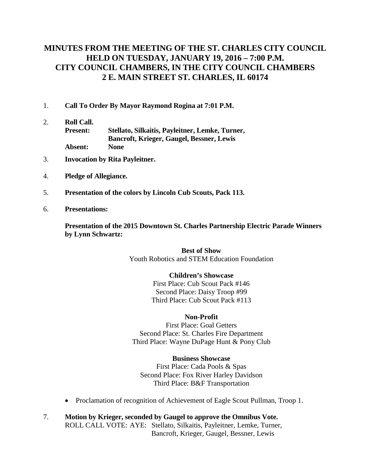# **MINUTES FROM THE MEETING OF THE ST. CHARLES CITY COUNCIL HELD ON TUESDAY, JANUARY 19, 2016 – 7:00 P.M. CITY COUNCIL CHAMBERS, IN THE CITY COUNCIL CHAMBERS 2 E. MAIN STREET ST. CHARLES, IL 60174**

- 1. **Call To Order By Mayor Raymond Rogina at 7:01 P.M.**
- 2. **Roll Call. Present: Stellato, Silkaitis, Payleitner, Lemke, Turner, Bancroft, Krieger, Gaugel, Bessner, Lewis Absent: None**
- 3. **Invocation by Rita Payleitner.**
- 4. **Pledge of Allegiance.**
- 5. **Presentation of the colors by Lincoln Cub Scouts, Pack 113.**
- 6. **Presentations:**

**Presentation of the 2015 Downtown St. Charles Partnership Electric Parade Winners by Lynn Schwartz:**

> **Best of Show** Youth Robotics and STEM Education Foundation

#### **Children's Showcase**

First Place: Cub Scout Pack #146 Second Place: Daisy Troop #99 Third Place: Cub Scout Pack #113

#### **Non-Profit**

First Place: Goal Getters Second Place: St. Charles Fire Department Third Place: Wayne DuPage Hunt & Pony Club

#### **Business Showcase**

First Place: Cada Pools & Spas Second Place: Fox River Harley Davidson Third Place: B&F Transportation

- Proclamation of recognition of Achievement of Eagle Scout Pullman, Troop 1.
- 7. **Motion by Krieger, seconded by Gaugel to approve the Omnibus Vote.** ROLL CALL VOTE: AYE: Stellato, Silkaitis, Payleitner, Lemke, Turner, Bancroft, Krieger, Gaugel, Bessner, Lewis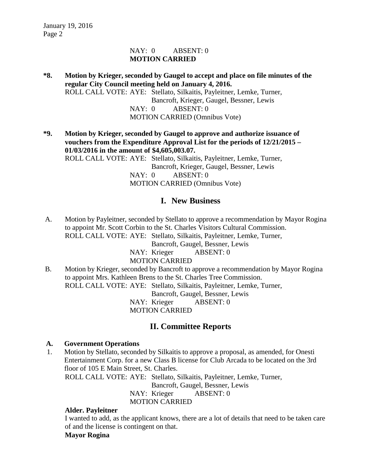### NAY: 0 ABSENT: 0 **MOTION CARRIED**

**\*8. Motion by Krieger, seconded by Gaugel to accept and place on file minutes of the regular City Council meeting held on January 4, 2016.** ROLL CALL VOTE: AYE: Stellato, Silkaitis, Payleitner, Lemke, Turner, Bancroft, Krieger, Gaugel, Bessner, Lewis NAY: 0 ABSENT: 0 MOTION CARRIED (Omnibus Vote)

**\*9. Motion by Krieger, seconded by Gaugel to approve and authorize issuance of vouchers from the Expenditure Approval List for the periods of 12/21/2015 – 01/03/2016 in the amount of \$4,605,003.07.** ROLL CALL VOTE: AYE: Stellato, Silkaitis, Payleitner, Lemke, Turner, Bancroft, Krieger, Gaugel, Bessner, Lewis NAY: 0 ABSENT: 0 MOTION CARRIED (Omnibus Vote)

# **I. New Business**

A. Motion by Payleitner, seconded by Stellato to approve a recommendation by Mayor Rogina to appoint Mr. Scott Corbin to the St. Charles Visitors Cultural Commission. ROLL CALL VOTE: AYE: Stellato, Silkaitis, Payleitner, Lemke, Turner,

Bancroft, Gaugel, Bessner, Lewis

NAY: Krieger ABSENT: 0

MOTION CARRIED

B. Motion by Krieger, seconded by Bancroft to approve a recommendation by Mayor Rogina to appoint Mrs. Kathleen Brens to the St. Charles Tree Commission. ROLL CALL VOTE: AYE: Stellato, Silkaitis, Payleitner, Lemke, Turner,

Bancroft, Gaugel, Bessner, Lewis

NAY: Krieger ABSENT: 0 MOTION CARRIED

# **II. Committee Reports**

### **A. Government Operations**

 1. Motion by Stellato, seconded by Silkaitis to approve a proposal, as amended, for Onesti Entertainment Corp. for a new Class B license for Club Arcada to be located on the 3rd floor of 105 E Main Street, St. Charles.

ROLL CALL VOTE: AYE: Stellato, Silkaitis, Payleitner, Lemke, Turner,

Bancroft, Gaugel, Bessner, Lewis

NAY: Krieger ABSENT: 0

MOTION CARRIED

#### **Alder. Payleitner**

I wanted to add, as the applicant knows, there are a lot of details that need to be taken care of and the license is contingent on that.

## **Mayor Rogina**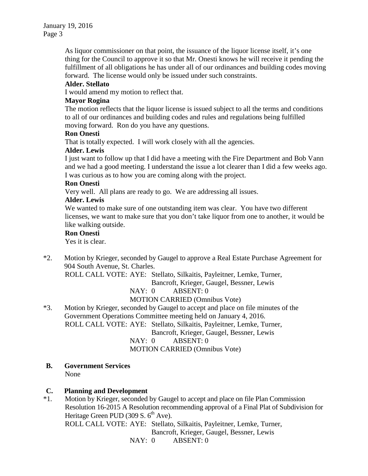As liquor commissioner on that point, the issuance of the liquor license itself, it's one thing for the Council to approve it so that Mr. Onesti knows he will receive it pending the fulfillment of all obligations he has under all of our ordinances and building codes moving forward. The license would only be issued under such constraints.

#### **Alder. Stellato**

I would amend my motion to reflect that.

#### **Mayor Rogina**

The motion reflects that the liquor license is issued subject to all the terms and conditions to all of our ordinances and building codes and rules and regulations being fulfilled moving forward. Ron do you have any questions.

#### **Ron Onesti**

That is totally expected. I will work closely with all the agencies.

### **Alder. Lewis**

I just want to follow up that I did have a meeting with the Fire Department and Bob Vann and we had a good meeting. I understand the issue a lot clearer than I did a few weeks ago. I was curious as to how you are coming along with the project.

#### **Ron Onesti**

Very well. All plans are ready to go. We are addressing all issues.

### **Alder. Lewis**

We wanted to make sure of one outstanding item was clear. You have two different licenses, we want to make sure that you don't take liquor from one to another, it would be like walking outside.

#### **Ron Onesti**

Yes it is clear.

\*2. Motion by Krieger, seconded by Gaugel to approve a Real Estate Purchase Agreement for 904 South Avenue, St. Charles.

ROLL CALL VOTE: AYE: Stellato, Silkaitis, Payleitner, Lemke, Turner,

Bancroft, Krieger, Gaugel, Bessner, Lewis

NAY: 0 ABSENT: 0

## MOTION CARRIED (Omnibus Vote)

\*3. Motion by Krieger, seconded by Gaugel to accept and place on file minutes of the Government Operations Committee meeting held on January 4, 2016. ROLL CALL VOTE: AYE: Stellato, Silkaitis, Payleitner, Lemke, Turner, Bancroft, Krieger, Gaugel, Bessner, Lewis

NAY: 0 ABSENT: 0

MOTION CARRIED (Omnibus Vote)

**B. Government Services** None

## **C. Planning and Development**

\*1.Motion by Krieger, seconded by Gaugel to accept and place on file Plan Commission Resolution 16-2015 A Resolution recommending approval of a Final Plat of Subdivision for Heritage Green PUD (309 S.  $6<sup>th</sup>$  Ave).

ROLL CALL VOTE: AYE: Stellato, Silkaitis, Payleitner, Lemke, Turner,

Bancroft, Krieger, Gaugel, Bessner, Lewis

NAY: 0 ABSENT: 0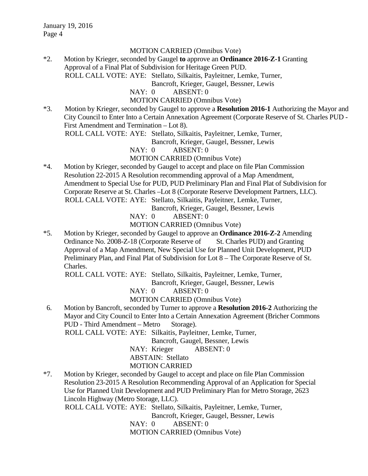#### MOTION CARRIED (Omnibus Vote)

\*2. Motion by Krieger, seconded by Gaugel **to** approve an **Ordinance 2016-Z-1** Granting Approval of a Final Plat of Subdivision for Heritage Green PUD. ROLL CALL VOTE: AYE: Stellato, Silkaitis, Payleitner, Lemke, Turner,

Bancroft, Krieger, Gaugel, Bessner, Lewis

NAY: 0 ABSENT: 0

MOTION CARRIED (Omnibus Vote)

\*3. Motion by Krieger, seconded by Gaugel to approve a **Resolution 2016-1** Authorizing the Mayor and City Council to Enter Into a Certain Annexation Agreement (Corporate Reserve of St. Charles PUD - First Amendment and Termination – Lot 8).

ROLL CALL VOTE: AYE: Stellato, Silkaitis, Payleitner, Lemke, Turner,

Bancroft, Krieger, Gaugel, Bessner, Lewis

NAY: 0 ABSENT: 0

### MOTION CARRIED (Omnibus Vote)

\*4. Motion by Krieger, seconded by Gaugel to accept and place on file Plan Commission Resolution 22-2015 A Resolution recommending approval of a Map Amendment, Amendment to Special Use for PUD, PUD Preliminary Plan and Final Plat of Subdivision for Corporate Reserve at St. Charles –Lot 8 (Corporate Reserve Development Partners, LLC). ROLL CALL VOTE: AYE: Stellato, Silkaitis, Payleitner, Lemke, Turner,

Bancroft, Krieger, Gaugel, Bessner, Lewis

NAY: 0 ABSENT: 0

MOTION CARRIED (Omnibus Vote)

\*5. Motion by Krieger, seconded by Gaugel to approve an **Ordinance 2016-Z-2** Amending Ordinance No. 2008-Z-18 (Corporate Reserve of St. Charles PUD) and Granting Approval of a Map Amendment, New Special Use for Planned Unit Development, PUD Preliminary Plan, and Final Plat of Subdivision for Lot 8 – The Corporate Reserve of St. Charles.

ROLL CALL VOTE: AYE: Stellato, Silkaitis, Payleitner, Lemke, Turner,

Bancroft, Krieger, Gaugel, Bessner, Lewis

NAY: 0 ABSENT: 0

MOTION CARRIED (Omnibus Vote)

6. Motion by Bancroft, seconded by Turner to approve a **Resolution 2016-2** Authorizing the Mayor and City Council to Enter Into a Certain Annexation Agreement (Bricher Commons PUD - Third Amendment – Metro Storage).

ROLL CALL VOTE: AYE: Silkaitis, Payleitner, Lemke, Turner,

Bancroft, Gaugel, Bessner, Lewis

NAY: Krieger ABSENT: 0

ABSTAIN: Stellato

MOTION CARRIED

\*7. Motion by Krieger, seconded by Gaugel to accept and place on file Plan Commission Resolution 23-2015 A Resolution Recommending Approval of an Application for Special Use for Planned Unit Development and PUD Preliminary Plan for Metro Storage, 2623 Lincoln Highway (Metro Storage, LLC).

ROLL CALL VOTE: AYE: Stellato, Silkaitis, Payleitner, Lemke, Turner,

Bancroft, Krieger, Gaugel, Bessner, Lewis

NAY: 0 ABSENT: 0

MOTION CARRIED (Omnibus Vote)